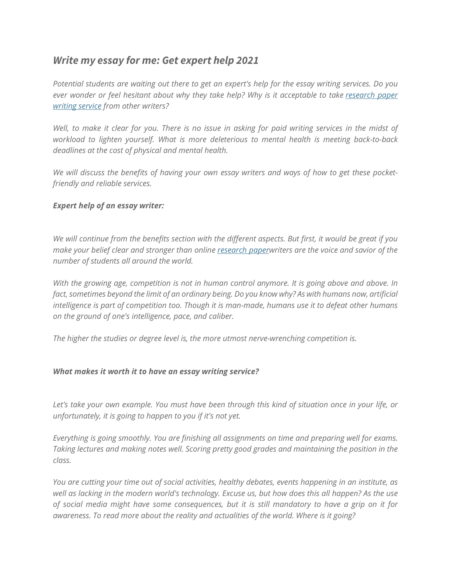## *Write my essay for me: Get expert help 2021*

Potential students are waiting out there to get an expert's help for the essay writing services. Do you *ever wonder or feel hesitant about why they take help? Why is it acceptable to take [research](https://perfectessaywriting.com/research-paper-writing-service) paper [writing](https://perfectessaywriting.com/research-paper-writing-service) service from other writers?*

Well, to make it clear for you. There is no issue in asking for paid writing services in the midst of *workload to lighten yourself. What is more deleterious to mental health is meeting back-to-back deadlines at the cost of physical and mental health.*

We will discuss the benefits of having your own essay writers and ways of how to get these pocket*friendly and reliable services.*

## *Expert help of an essay writer:*

*We will continue from the benefits section with the different aspects. But first, it would be great if you make your belief clear and stronger than online [research](https://perfectessaywriting.com/blog/research-paper) paperwriters are the voice and savior of the number of students all around the world.*

*With the growing age, competition is not in human control anymore. It is going above and above. In* fact, sometimes beyond the limit of an ordinary being. Do you know why? As with humans now, artificial *intelligence is part of competition too. Though it is man-made, humans use it to defeat other humans on the ground of one's intelligence, pace, and caliber.*

*The higher the studies or degree level is, the more utmost nerve-wrenching competition is.*

## *What makes it worth it to have an essay writing service?*

Let's take your own example. You must have been through this kind of situation once in your life, or *unfortunately, it is going to happen to you if it's not yet.*

*Everything is going smoothly. You are finishing all assignments on time and preparing well for exams. Taking lectures and making notes well. Scoring pretty good grades and maintaining the position in the class.*

*You are cutting your time out of social activities, healthy debates, events happening in an institute, as* well as lacking in the modern world's technology. Excuse us, but how does this all happen? As the use of social media might have some consequences, but it is still mandatory to have a grip on it for *awareness. To read more about the reality and actualities of the world. Where is it going?*